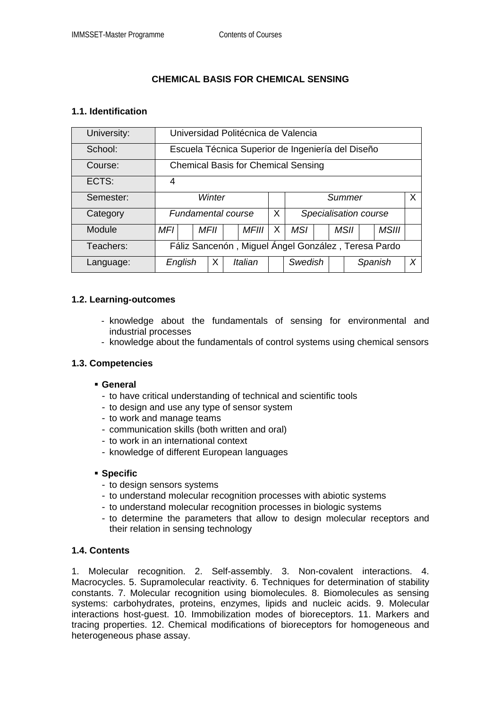# **CHEMICAL BASIS FOR CHEMICAL SENSING**

### **1.1. Identification**

| University: | Universidad Politécnica de Valencia                 |      |  |         |          |                        |  |  |      |         |              |   |
|-------------|-----------------------------------------------------|------|--|---------|----------|------------------------|--|--|------|---------|--------------|---|
| School:     | Escuela Técnica Superior de Ingeniería del Diseño   |      |  |         |          |                        |  |  |      |         |              |   |
| Course:     | <b>Chemical Basis for Chemical Sensing</b>          |      |  |         |          |                        |  |  |      |         |              |   |
| ECTS:       | 4                                                   |      |  |         |          |                        |  |  |      |         |              |   |
| Semester:   | Winter                                              |      |  |         |          | $\mathsf{X}$<br>Summer |  |  |      |         |              |   |
| Category    | Fundamental course                                  |      |  |         | $\chi$   | Specialisation course  |  |  |      |         |              |   |
| Module      | MFI                                                 | MFII |  | MFIII   | $\times$ | <b>MSI</b>             |  |  | MSII |         | <b>MSIII</b> |   |
| Teachers:   | Fáliz Sancenón, Miguel Ángel González, Teresa Pardo |      |  |         |          |                        |  |  |      |         |              |   |
| Language:   | English                                             | X    |  | Italian |          | Swedish                |  |  |      | Spanish |              | X |

### **1.2. Learning-outcomes**

- knowledge about the fundamentals of sensing for environmental and industrial processes
- knowledge about the fundamentals of control systems using chemical sensors

#### **1.3. Competencies**

#### **General**

- to have critical understanding of technical and scientific tools
- to design and use any type of sensor system
- to work and manage teams
- communication skills (both written and oral)
- to work in an international context
- knowledge of different European languages

#### **Specific**

- to design sensors systems
- to understand molecular recognition processes with abiotic systems
- to understand molecular recognition processes in biologic systems
- to determine the parameters that allow to design molecular receptors and their relation in sensing technology

# **1.4. Contents**

1. Molecular recognition. 2. Self-assembly. 3. Non-covalent interactions. 4. Macrocycles. 5. Supramolecular reactivity. 6. Techniques for determination of stability constants. 7. Molecular recognition using biomolecules. 8. Biomolecules as sensing systems: carbohydrates, proteins, enzymes, lipids and nucleic acids. 9. Molecular interactions host-guest. 10. Immobilization modes of bioreceptors. 11. Markers and tracing properties. 12. Chemical modifications of bioreceptors for homogeneous and heterogeneous phase assay.